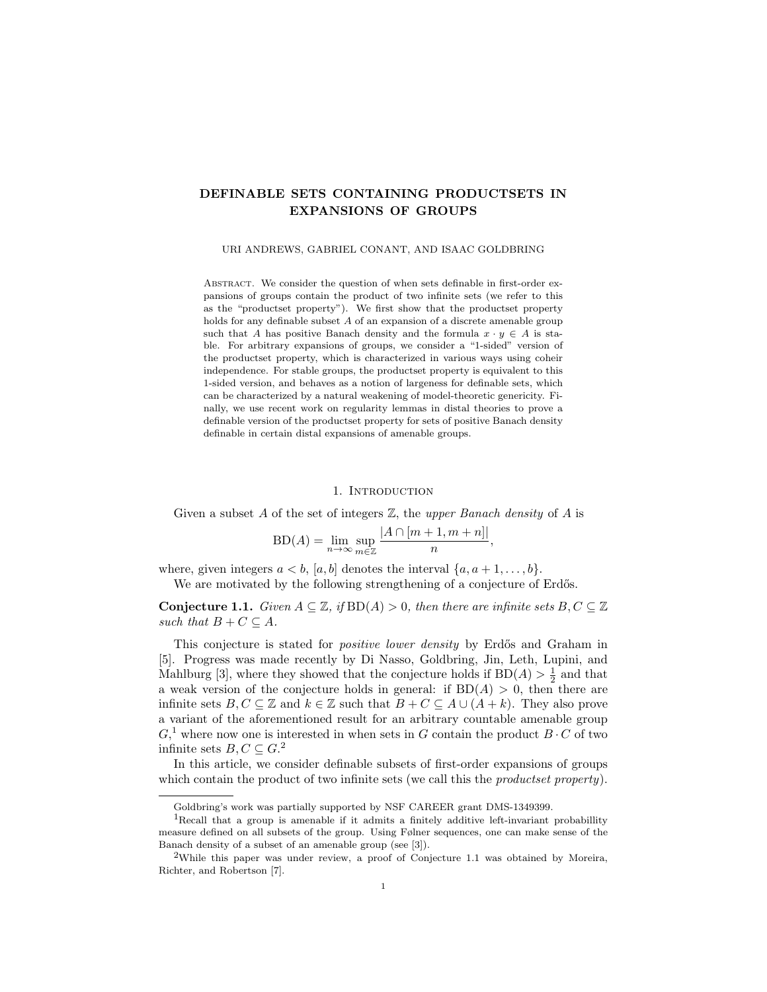# DEFINABLE SETS CONTAINING PRODUCTSETS IN EXPANSIONS OF GROUPS

URI ANDREWS, GABRIEL CONANT, AND ISAAC GOLDBRING

ABSTRACT. We consider the question of when sets definable in first-order expansions of groups contain the product of two infinite sets (we refer to this as the "productset property"). We first show that the productset property holds for any definable subset  $A$  of an expansion of a discrete amenable group such that A has positive Banach density and the formula  $x \cdot y \in A$  is stable. For arbitrary expansions of groups, we consider a "1-sided" version of the productset property, which is characterized in various ways using coheir independence. For stable groups, the productset property is equivalent to this 1-sided version, and behaves as a notion of largeness for definable sets, which can be characterized by a natural weakening of model-theoretic genericity. Finally, we use recent work on regularity lemmas in distal theories to prove a definable version of the productset property for sets of positive Banach density definable in certain distal expansions of amenable groups.

### 1. INTRODUCTION

Given a subset A of the set of integers  $\mathbb{Z}$ , the upper Banach density of A is

$$
BD(A) = \lim_{n \to \infty} \sup_{m \in \mathbb{Z}} \frac{|A \cap [m+1, m+n]|}{n}
$$

,

where, given integers  $a < b$ , [a, b] denotes the interval  $\{a, a+1, \ldots, b\}$ .

We are motivated by the following strengthening of a conjecture of Erdős.

**Conjecture 1.1.** Given  $A \subseteq \mathbb{Z}$ , if  $BD(A) > 0$ , then there are infinite sets  $B, C \subseteq \mathbb{Z}$ such that  $B + C \subseteq A$ .

This conjecture is stated for *positive lower density* by Erdős and Graham in [5]. Progress was made recently by Di Nasso, Goldbring, Jin, Leth, Lupini, and Mahlburg [3], where they showed that the conjecture holds if  $BD(A) > \frac{1}{2}$  and that a weak version of the conjecture holds in general: if  $BD(A) > 0$ , then there are infinite sets  $B, C \subseteq \mathbb{Z}$  and  $k \in \mathbb{Z}$  such that  $B + C \subseteq A \cup (A + k)$ . They also prove a variant of the aforementioned result for an arbitrary countable amenable group  $G<sup>1</sup>$ , where now one is interested in when sets in G contain the product  $B \cdot C$  of two infinite sets  $B, C \subseteq G$ <sup>2</sup>

In this article, we consider definable subsets of first-order expansions of groups which contain the product of two infinite sets (we call this the *productset property*).

Goldbring's work was partially supported by NSF CAREER grant DMS-1349399.

<sup>&</sup>lt;sup>1</sup>Recall that a group is amenable if it admits a finitely additive left-invariant probabillity measure defined on all subsets of the group. Using Følner sequences, one can make sense of the Banach density of a subset of an amenable group (see [3]).

<sup>&</sup>lt;sup>2</sup>While this paper was under review, a proof of Conjecture 1.1 was obtained by Moreira, Richter, and Robertson [7].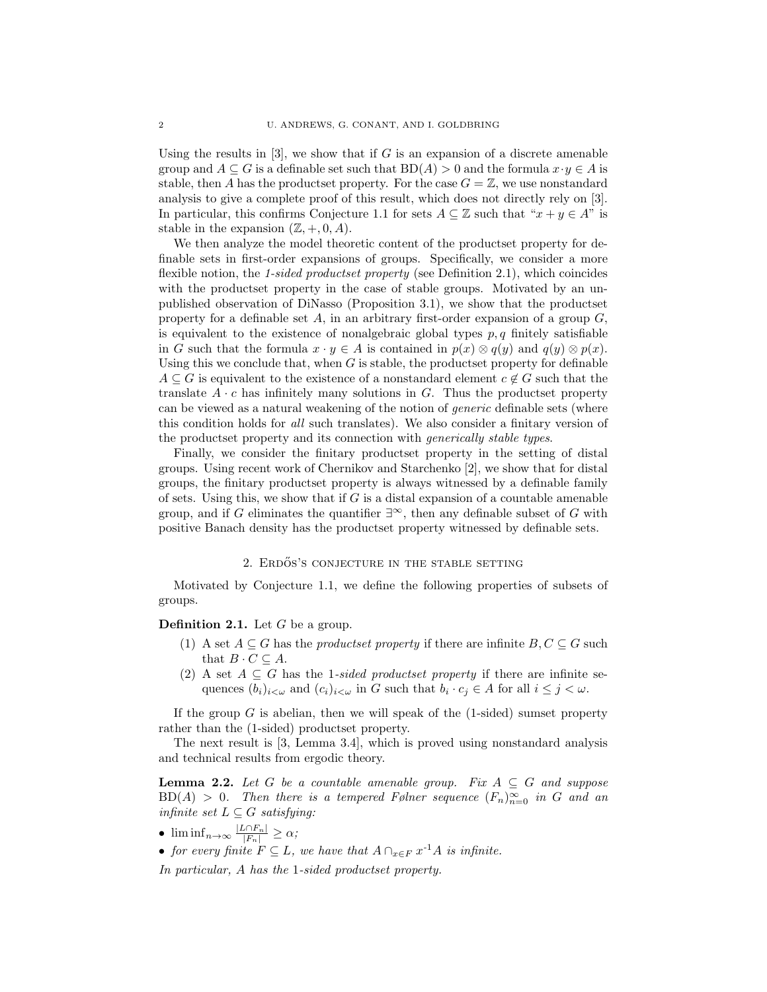Using the results in  $[3]$ , we show that if G is an expansion of a discrete amenable group and  $A \subseteq G$  is a definable set such that  $BD(A) > 0$  and the formula  $x \cdot y \in A$  is stable, then A has the productset property. For the case  $G = \mathbb{Z}$ , we use nonstandard analysis to give a complete proof of this result, which does not directly rely on [3]. In particular, this confirms Conjecture 1.1 for sets  $A \subseteq \mathbb{Z}$  such that " $x + y \in A$ " is stable in the expansion  $(\mathbb{Z}, +, 0, A)$ .

We then analyze the model theoretic content of the productset property for definable sets in first-order expansions of groups. Specifically, we consider a more flexible notion, the 1-sided productset property (see Definition 2.1), which coincides with the productset property in the case of stable groups. Motivated by an unpublished observation of DiNasso (Proposition 3.1), we show that the productset property for a definable set  $A$ , in an arbitrary first-order expansion of a group  $G$ , is equivalent to the existence of nonalgebraic global types  $p, q$  finitely satisfiable in G such that the formula  $x \cdot y \in A$  is contained in  $p(x) \otimes q(y)$  and  $q(y) \otimes p(x)$ . Using this we conclude that, when  $G$  is stable, the productset property for definable  $A \subseteq G$  is equivalent to the existence of a nonstandard element  $c \notin G$  such that the translate  $A \cdot c$  has infinitely many solutions in G. Thus the productset property can be viewed as a natural weakening of the notion of generic definable sets (where this condition holds for all such translates). We also consider a finitary version of the productset property and its connection with generically stable types.

Finally, we consider the finitary productset property in the setting of distal groups. Using recent work of Chernikov and Starchenko [2], we show that for distal groups, the finitary productset property is always witnessed by a definable family of sets. Using this, we show that if  $G$  is a distal expansion of a countable amenable group, and if G eliminates the quantifier  $\exists^{\infty}$ , then any definable subset of G with positive Banach density has the productset property witnessed by definable sets.

# 2. ERDÖS'S CONJECTURE IN THE STABLE SETTING

Motivated by Conjecture 1.1, we define the following properties of subsets of groups.

### **Definition 2.1.** Let  $G$  be a group.

- (1) A set  $A \subseteq G$  has the productset property if there are infinite  $B, C \subseteq G$  such that  $B \cdot C \subseteq A$ .
- (2) A set  $A \subseteq G$  has the 1-sided productset property if there are infinite sequences  $(b_i)_{i < \omega}$  and  $(c_i)_{i < \omega}$  in G such that  $b_i \cdot c_j \in A$  for all  $i \leq j < \omega$ .

If the group  $G$  is abelian, then we will speak of the  $(1\text{-sided})$  sumset property rather than the (1-sided) productset property.

The next result is [3, Lemma 3.4], which is proved using nonstandard analysis and technical results from ergodic theory.

**Lemma 2.2.** Let G be a countable amenable group. Fix  $A \subseteq G$  and suppose  $BD(A) > 0$ . Then there is a tempered Følner sequence  $(F_n)_{n=0}^{\infty}$  in G and an infinite set  $L \subseteq G$  satisfying:

- $\liminf_{n\to\infty}\frac{|L\cap F_n|}{|F_n|}\geq \alpha;$
- for every finite  $F \subseteq L$ , we have that  $A \cap_{x \in F} x^{-1}A$  is infinite.

In particular, A has the 1-sided productset property.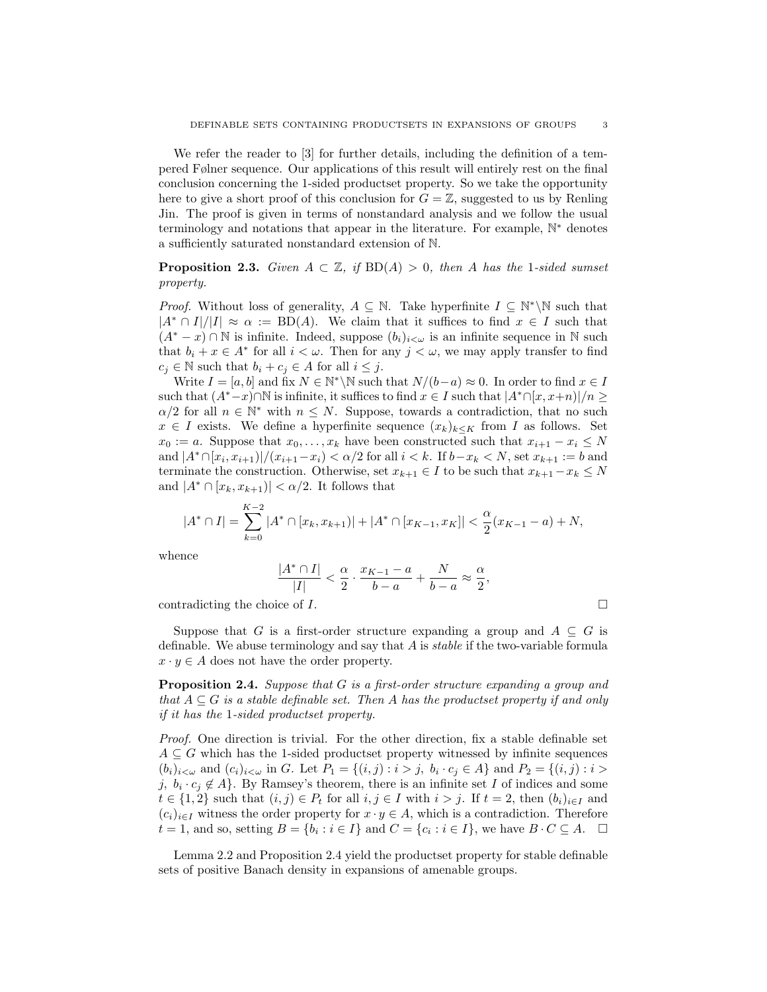We refer the reader to [3] for further details, including the definition of a tempered Følner sequence. Our applications of this result will entirely rest on the final conclusion concerning the 1-sided productset property. So we take the opportunity here to give a short proof of this conclusion for  $G = \mathbb{Z}$ , suggested to us by Renling Jin. The proof is given in terms of nonstandard analysis and we follow the usual terminology and notations that appear in the literature. For example, N<sup>\*</sup> denotes a sufficiently saturated nonstandard extension of N.

**Proposition 2.3.** Given  $A \subset \mathbb{Z}$ , if  $BD(A) > 0$ , then A has the 1-sided sumset property.

*Proof.* Without loss of generality,  $A \subseteq \mathbb{N}$ . Take hyperfinite  $I \subseteq \mathbb{N}^* \backslash \mathbb{N}$  such that  $|A^* \cap I|/|I| \approx \alpha := BD(A)$ . We claim that it suffices to find  $x \in I$  such that  $(A^* - x) \cap \mathbb{N}$  is infinite. Indeed, suppose  $(b_i)_{i \leq \omega}$  is an infinite sequence in  $\mathbb{N}$  such that  $b_i + x \in A^*$  for all  $i < \omega$ . Then for any  $j < \omega$ , we may apply transfer to find  $c_i \in \mathbb{N}$  such that  $b_i + c_j \in A$  for all  $i \leq j$ .

Write  $I = [a, b]$  and fix  $N \in \mathbb{N}^* \backslash \mathbb{N}$  such that  $N/(b-a) \approx 0$ . In order to find  $x \in I$ such that  $(A^*-x)\cap\mathbb{N}$  is infinite, it suffices to find  $x\in I$  such that  $|A^*\cap[x,x+n)|/n\geq 0$  $\alpha/2$  for all  $n \in \mathbb{N}^*$  with  $n \leq N$ . Suppose, towards a contradiction, that no such  $x \in I$  exists. We define a hyperfinite sequence  $(x_k)_{k \leq K}$  from I as follows. Set  $x_0 := a$ . Suppose that  $x_0, \ldots, x_k$  have been constructed such that  $x_{i+1} - x_i \leq N$ and  $|A^* \cap [x_i, x_{i+1})|/(x_{i+1}-x_i) < \alpha/2$  for all  $i < k$ . If  $b-x_k < N$ , set  $x_{k+1} := b$  and terminate the construction. Otherwise, set  $x_{k+1} \in I$  to be such that  $x_{k+1} - x_k \leq N$ and  $|A^* \cap [x_k, x_{k+1})| < \alpha/2$ . It follows that

$$
|A^* \cap I| = \sum_{k=0}^{K-2} |A^* \cap [x_k, x_{k+1})| + |A^* \cap [x_{K-1}, x_K]| < \frac{\alpha}{2}(x_{K-1} - a) + N,
$$

whence

$$
\frac{|A^* \cap I|}{|I|} < \frac{\alpha}{2} \cdot \frac{x_{K-1} - a}{b - a} + \frac{N}{b - a} \approx \frac{\alpha}{2},
$$

contradicting the choice of  $I$ .

Suppose that G is a first-order structure expanding a group and  $A \subseteq G$  is definable. We abuse terminology and say that A is stable if the two-variable formula  $x \cdot y \in A$  does not have the order property.

**Proposition 2.4.** Suppose that  $G$  is a first-order structure expanding a group and that  $A \subseteq G$  is a stable definable set. Then A has the productset property if and only if it has the 1-sided productset property.

Proof. One direction is trivial. For the other direction, fix a stable definable set  $A \subseteq G$  which has the 1-sided productset property witnessed by infinite sequences  $(b_i)_{i < \omega}$  and  $(c_i)_{i < \omega}$  in G. Let  $P_1 = \{(i, j) : i > j, b_i \cdot c_j \in A\}$  and  $P_2 = \{(i, j) : i > j, b_i \cdot c_j \in A\}$ j,  $b_i \cdot c_j \notin A$ . By Ramsey's theorem, there is an infinite set I of indices and some  $t \in \{1,2\}$  such that  $(i, j) \in P_t$  for all  $i, j \in I$  with  $i > j$ . If  $t = 2$ , then  $(b_i)_{i \in I}$  and  $(c_i)_{i\in I}$  witness the order property for  $x \cdot y \in A$ , which is a contradiction. Therefore  $t = 1$ , and so, setting  $B = \{b_i : i \in I\}$  and  $C = \{c_i : i \in I\}$ , we have  $B \cdot C \subseteq A$ .  $\Box$ 

Lemma 2.2 and Proposition 2.4 yield the productset property for stable definable sets of positive Banach density in expansions of amenable groups.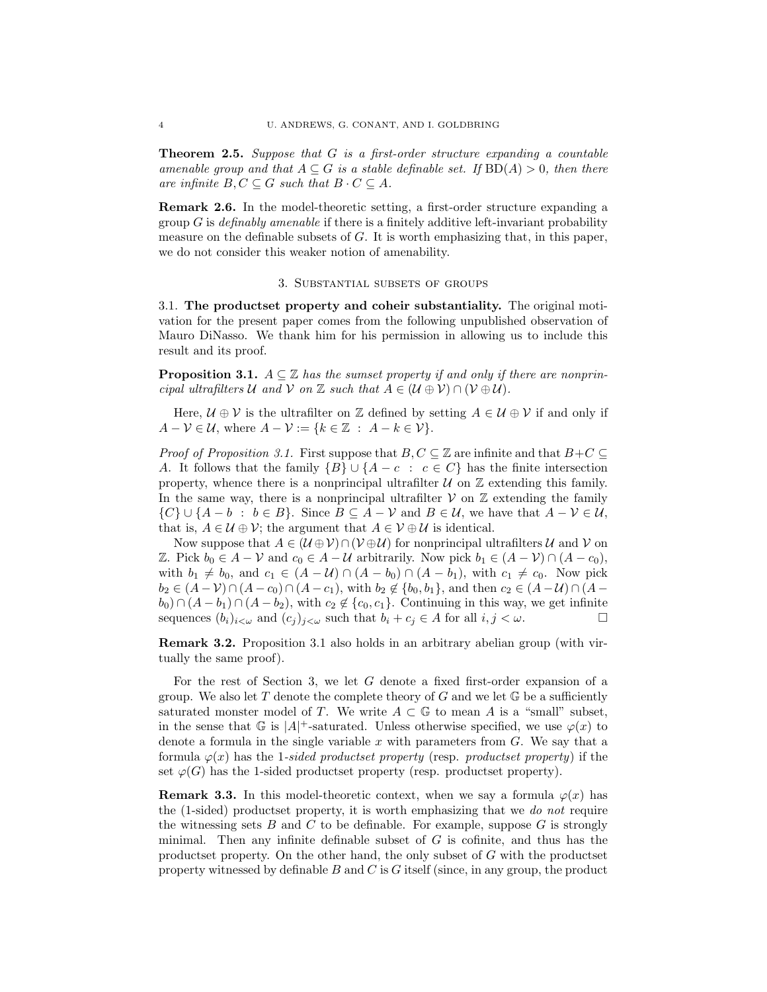**Theorem 2.5.** Suppose that  $G$  is a first-order structure expanding a countable amenable group and that  $A \subseteq G$  is a stable definable set. If  $BD(A) > 0$ , then there are infinite  $B, C \subseteq G$  such that  $B \cdot C \subseteq A$ .

Remark 2.6. In the model-theoretic setting, a first-order structure expanding a group  $G$  is *definably amenable* if there is a finitely additive left-invariant probability measure on the definable subsets of G. It is worth emphasizing that, in this paper, we do not consider this weaker notion of amenability.

#### 3. Substantial subsets of groups

3.1. The productset property and coheir substantiality. The original motivation for the present paper comes from the following unpublished observation of Mauro DiNasso. We thank him for his permission in allowing us to include this result and its proof.

**Proposition 3.1.**  $A \subseteq \mathbb{Z}$  has the sumset property if and only if there are nonprincipal ultrafilters U and V on Z such that  $A \in (\mathcal{U} \oplus \mathcal{V}) \cap (\mathcal{V} \oplus \mathcal{U})$ .

Here,  $\mathcal{U} \oplus \mathcal{V}$  is the ultrafilter on Z defined by setting  $A \in \mathcal{U} \oplus \mathcal{V}$  if and only if  $A - \mathcal{V} \in \mathcal{U}$ , where  $A - \mathcal{V} := \{k \in \mathbb{Z} : A - k \in \mathcal{V}\}.$ 

*Proof of Proposition 3.1.* First suppose that  $B, C \subseteq \mathbb{Z}$  are infinite and that  $B+C \subseteq$ A. It follows that the family  ${B} \cup {A - c : c \in C}$  has the finite intersection property, whence there is a nonprincipal ultrafilter  $U$  on  $\mathbb Z$  extending this family. In the same way, there is a nonprincipal ultrafilter  $V$  on  $\mathbb Z$  extending the family  $\{C\} \cup \{A - b : b \in B\}$ . Since  $B \subseteq A - \mathcal{V}$  and  $B \in \mathcal{U}$ , we have that  $A - \mathcal{V} \in \mathcal{U}$ , that is,  $A \in \mathcal{U} \oplus \mathcal{V}$ ; the argument that  $A \in \mathcal{V} \oplus \mathcal{U}$  is identical.

Now suppose that  $A \in (\mathcal{U} \oplus \mathcal{V}) \cap (\mathcal{V} \oplus \mathcal{U})$  for nonprincipal ultrafilters  $\mathcal{U}$  and  $\mathcal{V}$  on Z. Pick  $b_0 \in A - \mathcal{V}$  and  $c_0 \in A - \mathcal{U}$  arbitrarily. Now pick  $b_1 \in (A - \mathcal{V}) \cap (A - c_0)$ , with  $b_1 \neq b_0$ , and  $c_1 \in (A - U) \cap (A - b_0) \cap (A - b_1)$ , with  $c_1 \neq c_0$ . Now pick  $b_2 \in (A - V) \cap (A - c_0) \cap (A - c_1)$ , with  $b_2 \notin \{b_0, b_1\}$ , and then  $c_2 \in (A - U) \cap (A - c_0)$  $b_0$ ) ∩  $(A - b_1)$  ∩  $(A - b_2)$ , with  $c_2 \notin \{c_0, c_1\}$ . Continuing in this way, we get infinite sequences  $(b_i)_{i<\omega}$  and  $(c_j)_{j<\omega}$  such that  $b_i + c_j \in A$  for all  $i, j < \omega$ .

Remark 3.2. Proposition 3.1 also holds in an arbitrary abelian group (with virtually the same proof).

For the rest of Section 3, we let  $G$  denote a fixed first-order expansion of a group. We also let T denote the complete theory of G and we let  $\mathbb G$  be a sufficiently saturated monster model of T. We write  $A \subset \mathbb{G}$  to mean A is a "small" subset, in the sense that  $\mathbb G$  is  $|A|^+$ -saturated. Unless otherwise specified, we use  $\varphi(x)$  to denote a formula in the single variable  $x$  with parameters from  $G$ . We say that a formula  $\varphi(x)$  has the 1-sided productset property (resp. productset property) if the set  $\varphi(G)$  has the 1-sided productset property (resp. productset property).

**Remark 3.3.** In this model-theoretic context, when we say a formula  $\varphi(x)$  has the (1-sided) productset property, it is worth emphasizing that we do not require the witnessing sets  $B$  and  $C$  to be definable. For example, suppose  $G$  is strongly minimal. Then any infinite definable subset of  $G$  is cofinite, and thus has the productset property. On the other hand, the only subset of G with the productset property witnessed by definable  $B$  and  $C$  is  $G$  itself (since, in any group, the product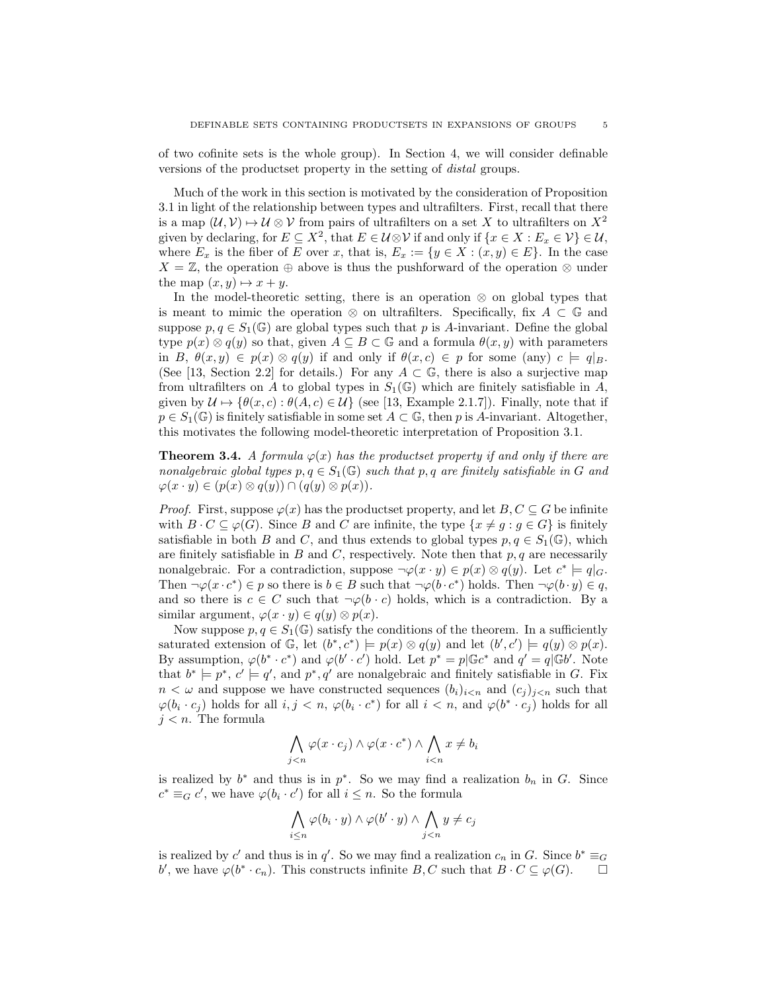of two cofinite sets is the whole group). In Section 4, we will consider definable versions of the productset property in the setting of distal groups.

Much of the work in this section is motivated by the consideration of Proposition 3.1 in light of the relationship between types and ultrafilters. First, recall that there is a map  $(U, V) \rightarrow U \otimes V$  from pairs of ultrafilters on a set X to ultrafilters on  $X^2$ given by declaring, for  $E \subseteq X^2$ , that  $E \in \mathcal{U} \otimes \mathcal{V}$  if and only if  $\{x \in X : E_x \in \mathcal{V}\} \in \mathcal{U}$ , where  $E_x$  is the fiber of E over x, that is,  $E_x := \{y \in X : (x, y) \in E\}$ . In the case  $X = \mathbb{Z}$ , the operation  $\oplus$  above is thus the pushforward of the operation  $\otimes$  under the map  $(x, y) \mapsto x + y$ .

In the model-theoretic setting, there is an operation  $\otimes$  on global types that is meant to mimic the operation ⊗ on ultrafilters. Specifically, fix  $A \subset \mathbb{G}$  and suppose  $p, q \in S_1(\mathbb{G})$  are global types such that p is A-invariant. Define the global type  $p(x) \otimes q(y)$  so that, given  $A \subseteq B \subset \mathbb{G}$  and a formula  $\theta(x, y)$  with parameters in B,  $\theta(x, y) \in p(x) \otimes q(y)$  if and only if  $\theta(x, c) \in p$  for some (any)  $c \models q|_{B}$ . (See [13, Section 2.2] for details.) For any  $A \subset \mathbb{G}$ , there is also a surjective map from ultrafilters on A to global types in  $S_1(\mathbb{G})$  which are finitely satisfiable in A, given by  $\mathcal{U} \mapsto {\theta(x, c) : \theta(A, c) \in \mathcal{U}}$  (see [13, Example 2.1.7]). Finally, note that if  $p \in S_1(\mathbb{G})$  is finitely satisfiable in some set  $A \subset \mathbb{G}$ , then p is A-invariant. Altogether, this motivates the following model-theoretic interpretation of Proposition 3.1.

**Theorem 3.4.** A formula  $\varphi(x)$  has the productset property if and only if there are nonalgebraic global types  $p, q \in S_1(\mathbb{G})$  such that  $p, q$  are finitely satisfiable in G and  $\varphi(x \cdot y) \in (p(x) \otimes q(y)) \cap (q(y) \otimes p(x)).$ 

*Proof.* First, suppose  $\varphi(x)$  has the productset property, and let  $B, C \subseteq G$  be infinite with  $B \cdot C \subseteq \varphi(G)$ . Since B and C are infinite, the type  $\{x \neq g : g \in G\}$  is finitely satisfiable in both B and C, and thus extends to global types  $p, q \in S_1(\mathbb{G})$ , which are finitely satisfiable in B and C, respectively. Note then that  $p, q$  are necessarily nonalgebraic. For a contradiction, suppose  $\neg \varphi(x \cdot y) \in p(x) \otimes q(y)$ . Let  $c^* \models q|_G$ . Then  $\neg\varphi(x \cdot c^*) \in p$  so there is  $b \in B$  such that  $\neg\varphi(b \cdot c^*)$  holds. Then  $\neg\varphi(b \cdot y) \in q$ , and so there is  $c \in C$  such that  $\neg \varphi(b \cdot c)$  holds, which is a contradiction. By a similar argument,  $\varphi(x \cdot y) \in q(y) \otimes p(x)$ .

Now suppose  $p, q \in S_1(\mathbb{G})$  satisfy the conditions of the theorem. In a sufficiently saturated extension of  $\mathbb{G}$ , let  $(b^*, c^*)$   $\models p(x) \otimes q(y)$  and let  $(b', c')$   $\models q(y) \otimes p(x)$ . By assumption,  $\varphi(b^* \cdot c^*)$  and  $\varphi(b' \cdot c')$  hold. Let  $p^* = p \mathbb{G} c^*$  and  $q' = q \mathbb{G} b'$ . Note that  $b^* \models p^*, c' \models q'$ , and  $p^*, q'$  are nonalgebraic and finitely satisfiable in G. Fix  $n < \omega$  and suppose we have constructed sequences  $(b_i)_{i \leq n}$  and  $(c_i)_{i \leq n}$  such that  $\varphi(b_i \cdot c_j)$  holds for all  $i, j < n$ ,  $\varphi(b_i \cdot c^*)$  for all  $i < n$ , and  $\varphi(b^* \cdot c_j)$  holds for all  $j < n$ . The formula

$$
\bigwedge_{j
$$

is realized by  $b^*$  and thus is in  $p^*$ . So we may find a realization  $b_n$  in G. Since  $c^* \equiv_G c'$ , we have  $\varphi(b_i \cdot c')$  for all  $i \leq n$ . So the formula

$$
\bigwedge_{i\leq n}\varphi(b_i\cdot y)\wedge\varphi(b'\cdot y)\wedge\bigwedge_{j
$$

is realized by c' and thus is in q'. So we may find a realization  $c_n$  in G. Since  $b^* \equiv_G a$ b', we have  $\varphi(b^*\cdot c_n)$ . This constructs infinite  $B, C$  such that  $B\cdot C \subseteq \varphi(G)$ .  $\Box$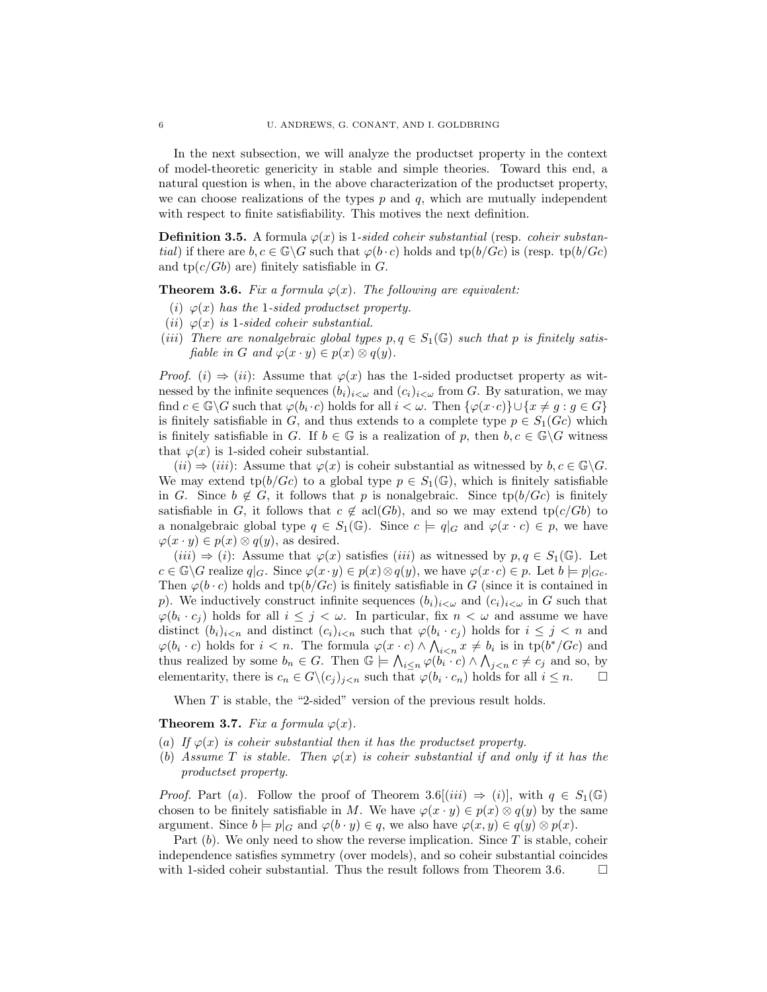In the next subsection, we will analyze the productset property in the context of model-theoretic genericity in stable and simple theories. Toward this end, a natural question is when, in the above characterization of the productset property, we can choose realizations of the types  $p$  and  $q$ , which are mutually independent with respect to finite satisfiability. This motives the next definition.

**Definition 3.5.** A formula  $\varphi(x)$  is 1-sided coheir substantial (resp. coheir substan*tial*) if there are  $b, c \in \mathbb{G} \backslash G$  such that  $\varphi(b \cdot c)$  holds and  $\text{tp}(b/Gc)$  is (resp.  $\text{tp}(b/Gc)$ ) and  $tp(c/Gb)$  are) finitely satisfiable in G.

**Theorem 3.6.** Fix a formula  $\varphi(x)$ . The following are equivalent:

- (i)  $\varphi(x)$  has the 1-sided productset property.
- (*ii*)  $\varphi(x)$  *is 1-sided coheir substantial.*
- (iii) There are nonalgebraic global types  $p, q \in S_1(\mathbb{G})$  such that p is finitely satisfiable in G and  $\varphi(x \cdot y) \in p(x) \otimes q(y)$ .

*Proof.* (i)  $\Rightarrow$  (ii): Assume that  $\varphi(x)$  has the 1-sided productset property as witnessed by the infinite sequences  $(b_i)_{i<\omega}$  and  $(c_i)_{i<\omega}$  from G. By saturation, we may find  $c \in \mathbb{G} \backslash G$  such that  $\varphi(b_i \cdot c)$  holds for all  $i < \omega$ . Then  $\{\varphi(x \cdot c)\} \cup \{x \neq g : g \in G\}$ is finitely satisfiable in G, and thus extends to a complete type  $p \in S_1(Gc)$  which is finitely satisfiable in G. If  $b \in \mathbb{G}$  is a realization of p, then  $b, c \in \mathbb{G}\backslash G$  witness that  $\varphi(x)$  is 1-sided coheir substantial.

 $(ii) \Rightarrow (iii)$ : Assume that  $\varphi(x)$  is coheir substantial as witnessed by  $b, c \in \mathbb{G}\backslash G$ . We may extend tp(b/Gc) to a global type  $p \in S_1(\mathbb{G})$ , which is finitely satisfiable in G. Since  $b \notin G$ , it follows that p is nonalgebraic. Since tp(b/Gc) is finitely satisfiable in G, it follows that  $c \notin \text{acl}(Gb)$ , and so we may extend tp( $c/Gb$ ) to a nonalgebraic global type  $q \in S_1(\mathbb{G})$ . Since  $c \models q|_G$  and  $\varphi(x \cdot c) \in p$ , we have  $\varphi(x \cdot y) \in p(x) \otimes q(y)$ , as desired.

 $(iii) \Rightarrow (i)$ : Assume that  $\varphi(x)$  satisfies  $(iii)$  as witnessed by  $p, q \in S_1(\mathbb{G})$ . Let  $c \in \mathbb{G} \backslash G$  realize  $q|_G$ . Since  $\varphi(x \cdot y) \in p(x) \otimes q(y)$ , we have  $\varphi(x \cdot c) \in p$ . Let  $b \models p|_{G_c}$ . Then  $\varphi(b \cdot c)$  holds and  $\text{tp}(b/Gc)$  is finitely satisfiable in G (since it is contained in p). We inductively construct infinite sequences  $(b_i)_{i<\omega}$  and  $(c_i)_{i<\omega}$  in G such that  $\varphi(b_i \cdot c_j)$  holds for all  $i \leq j < \omega$ . In particular, fix  $n < \omega$  and assume we have distinct  $(b_i)_{i \leq n}$  and distinct  $(c_i)_{i \leq n}$  such that  $\varphi(b_i \cdot c_j)$  holds for  $i \leq j \leq n$  and  $\varphi(b_i \cdot c)$  holds for  $i < n$ . The formula  $\varphi(x \cdot c) \wedge \bigwedge_{i < n} x \neq b_i$  is in  $tp(b^*/Gc)$  and thus realized by some  $b_n \in G$ . Then  $\mathbb{G} \models \bigwedge_{i \leq n} \varphi(b_i \cdot c) \wedge \bigwedge_{j \leq n} c \neq c_j$  and so, by elementarity, there is  $c_n \in G \backslash (c_j)_{j \leq n}$  such that  $\varphi(b_i \cdot c_n)$  holds for all  $i \leq n$ .

When  $T$  is stable, the "2-sided" version of the previous result holds.

**Theorem 3.7.** Fix a formula  $\varphi(x)$ .

- (a) If  $\varphi(x)$  is coheir substantial then it has the productset property.
- (b) Assume T is stable. Then  $\varphi(x)$  is coheir substantial if and only if it has the productset property.

*Proof.* Part (a). Follow the proof of Theorem 3.6[(iii)  $\Rightarrow$  (i)], with  $q \in S_1(\mathbb{G})$ chosen to be finitely satisfiable in M. We have  $\varphi(x \cdot y) \in p(x) \otimes q(y)$  by the same argument. Since  $b = p|_G$  and  $\varphi(b \cdot y) \in q$ , we also have  $\varphi(x, y) \in q(y) \otimes p(x)$ .

Part  $(b)$ . We only need to show the reverse implication. Since T is stable, coheir independence satisfies symmetry (over models), and so coheir substantial coincides with 1-sided coheir substantial. Thus the result follows from Theorem 3.6.  $\Box$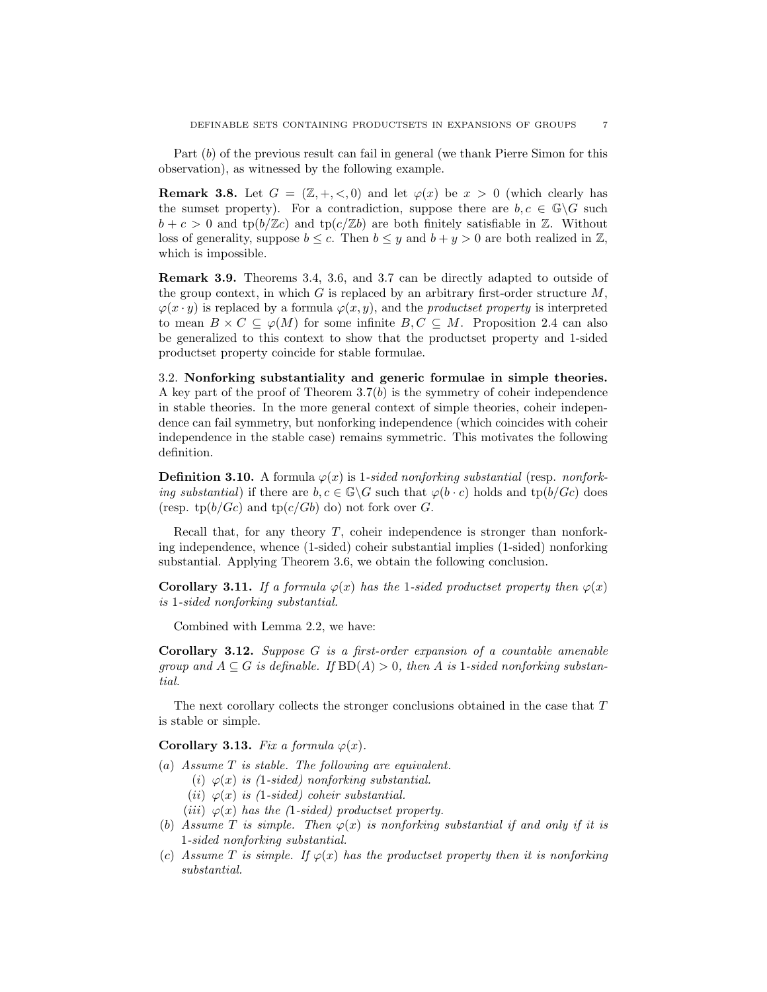Part (b) of the previous result can fail in general (we thank Pierre Simon for this observation), as witnessed by the following example.

**Remark 3.8.** Let  $G = (\mathbb{Z}, +, <, 0)$  and let  $\varphi(x)$  be  $x > 0$  (which clearly has the sumset property). For a contradiction, suppose there are  $b, c \in \mathbb{G}\backslash G$  such  $b + c > 0$  and tp $(b/\mathbb{Z}c)$  and tp $(c/\mathbb{Z}b)$  are both finitely satisfiable in  $\mathbb{Z}$ . Without loss of generality, suppose  $b \leq c$ . Then  $b \leq y$  and  $b + y > 0$  are both realized in  $\mathbb{Z}$ , which is impossible.

Remark 3.9. Theorems 3.4, 3.6, and 3.7 can be directly adapted to outside of the group context, in which G is replaced by an arbitrary first-order structure  $M$ ,  $\varphi(x \cdot y)$  is replaced by a formula  $\varphi(x, y)$ , and the *productset property* is interpreted to mean  $B \times C \subseteq \varphi(M)$  for some infinite  $B, C \subseteq M$ . Proposition 2.4 can also be generalized to this context to show that the productset property and 1-sided productset property coincide for stable formulae.

3.2. Nonforking substantiality and generic formulae in simple theories. A key part of the proof of Theorem  $3.7(b)$  is the symmetry of coheir independence in stable theories. In the more general context of simple theories, coheir independence can fail symmetry, but nonforking independence (which coincides with coheir independence in the stable case) remains symmetric. This motivates the following definition.

**Definition 3.10.** A formula  $\varphi(x)$  is 1-sided nonforking substantial (resp. nonforking substantial) if there are  $b, c \in \mathbb{G} \backslash G$  such that  $\varphi(b \cdot c)$  holds and  $tp(b/Gc)$  does (resp. tp $(b/Gc)$  and tp $(c/Gb)$  do) not fork over G.

Recall that, for any theory  $T$ , coheir independence is stronger than nonforking independence, whence (1-sided) coheir substantial implies (1-sided) nonforking substantial. Applying Theorem 3.6, we obtain the following conclusion.

**Corollary 3.11.** If a formula  $\varphi(x)$  has the 1-sided productset property then  $\varphi(x)$ is 1-sided nonforking substantial.

Combined with Lemma 2.2, we have:

Corollary 3.12. Suppose G is a first-order expansion of a countable amenable group and  $A \subseteq G$  is definable. If  $BD(A) > 0$ , then A is 1-sided nonforking substantial.

The next corollary collects the stronger conclusions obtained in the case that T is stable or simple.

Corollary 3.13. Fix a formula  $\varphi(x)$ .

- (a) Assume T is stable. The following are equivalent.
	- (i)  $\varphi(x)$  is (1-sided) nonforking substantial.
	- (*ii*)  $\varphi(x)$  *is (1-sided) coheir substantial.*
	- (iii)  $\varphi(x)$  has the (1-sided) productset property.
- (b) Assume T is simple. Then  $\varphi(x)$  is nonforking substantial if and only if it is 1-sided nonforking substantial.
- (c) Assume T is simple. If  $\varphi(x)$  has the productset property then it is nonforking substantial.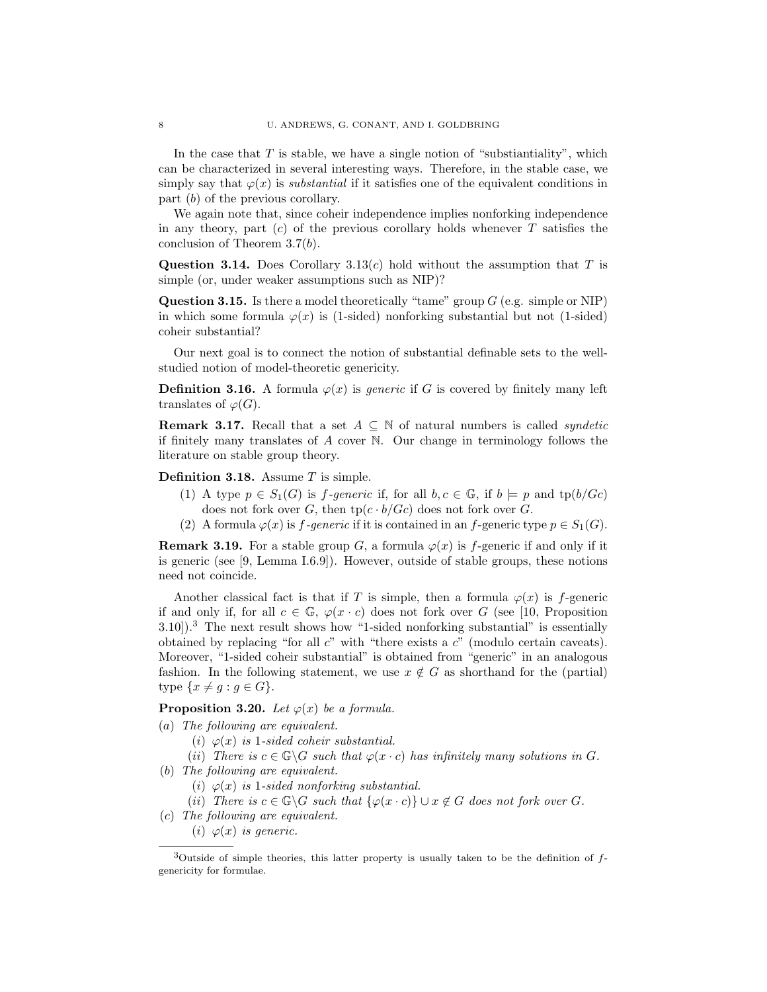In the case that  $T$  is stable, we have a single notion of "substiantiality", which can be characterized in several interesting ways. Therefore, in the stable case, we simply say that  $\varphi(x)$  is *substantial* if it satisfies one of the equivalent conditions in part (b) of the previous corollary.

We again note that, since coheir independence implies nonforking independence in any theory, part  $(c)$  of the previous corollary holds whenever T satisfies the conclusion of Theorem 3.7(b).

Question 3.14. Does Corollary 3.13(c) hold without the assumption that T is simple (or, under weaker assumptions such as NIP)?

**Question 3.15.** Is there a model theoretically "tame" group  $G$  (e.g. simple or NIP) in which some formula  $\varphi(x)$  is (1-sided) nonforking substantial but not (1-sided) coheir substantial?

Our next goal is to connect the notion of substantial definable sets to the wellstudied notion of model-theoretic genericity.

**Definition 3.16.** A formula  $\varphi(x)$  is *generic* if G is covered by finitely many left translates of  $\varphi(G)$ .

**Remark 3.17.** Recall that a set  $A \subseteq \mathbb{N}$  of natural numbers is called *syndetic* if finitely many translates of A cover N. Our change in terminology follows the literature on stable group theory.

**Definition 3.18.** Assume  $T$  is simple.

- (1) A type  $p \in S_1(G)$  is *f-generic* if, for all  $b, c \in \mathbb{G}$ , if  $b \models p$  and  $tp(b/Gc)$ does not fork over G, then  $tp(c \cdot b/Gc)$  does not fork over G.
- (2) A formula  $\varphi(x)$  is f-generic if it is contained in an f-generic type  $p \in S_1(G)$ .

**Remark 3.19.** For a stable group G, a formula  $\varphi(x)$  is f-generic if and only if it is generic (see [9, Lemma I.6.9]). However, outside of stable groups, these notions need not coincide.

Another classical fact is that if T is simple, then a formula  $\varphi(x)$  is f-generic if and only if, for all  $c \in \mathbb{G}$ ,  $\varphi(x \cdot c)$  does not fork over G (see [10, Proposition 3.10]).<sup>3</sup> The next result shows how "1-sided nonforking substantial" is essentially obtained by replacing "for all  $c$ " with "there exists a  $c$ " (modulo certain caveats). Moreover, "1-sided coheir substantial" is obtained from "generic" in an analogous fashion. In the following statement, we use  $x \notin G$  as shorthand for the (partial) type  $\{x \neq g : g \in G\}.$ 

**Proposition 3.20.** Let  $\varphi(x)$  be a formula.

- (a) The following are equivalent.
	- (i)  $\varphi(x)$  is 1-sided coheir substantial.
	- (ii) There is  $c \in \mathbb{G} \backslash G$  such that  $\varphi(x \cdot c)$  has infinitely many solutions in G.
- (b) The following are equivalent.
	- (i)  $\varphi(x)$  is 1-sided nonforking substantial.
	- (ii) There is  $c \in \mathbb{G} \backslash G$  such that  $\{\varphi(x \cdot c)\} \cup x \notin G$  does not fork over G.
- (c) The following are equivalent.
	- (i)  $\varphi(x)$  is generic.

 $3$ Outside of simple theories, this latter property is usually taken to be the definition of  $f$ genericity for formulae.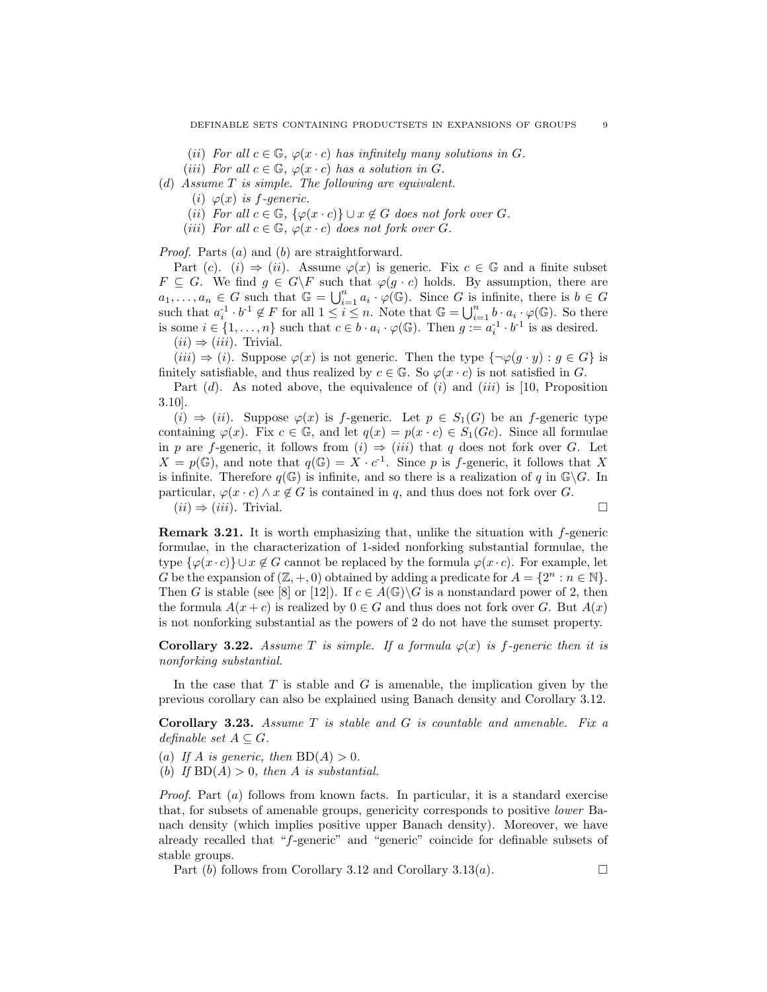- (ii) For all  $c \in \mathbb{G}$ ,  $\varphi(x \cdot c)$  has infinitely many solutions in G.
- (iii) For all  $c \in \mathbb{G}$ ,  $\varphi(x \cdot c)$  has a solution in G.
- (d) Assume T is simple. The following are equivalent.
	- (i)  $\varphi(x)$  is f-generic.
	- (ii) For all  $c \in \mathbb{G}$ ,  $\{\varphi(x \cdot c)\} \cup x \notin G$  does not fork over G.
	- (iii) For all  $c \in \mathbb{G}$ ,  $\varphi(x \cdot c)$  does not fork over G.

Proof. Parts (a) and (b) are straightforward.

Part (c). (i)  $\Rightarrow$  (ii). Assume  $\varphi(x)$  is generic. Fix  $c \in \mathbb{G}$  and a finite subset  $F \subseteq G$ . We find  $g \in G\backslash F$  such that  $\varphi(g \cdot c)$  holds. By assumption, there are  $a_1, \ldots, a_n \in G$  such that  $\mathbb{G} = \bigcup_{i=1}^n a_i \cdot \varphi(\mathbb{G})$ . Since G is infinite, there is  $b \in G$ such that  $a_i^{-1} \cdot b^{-1} \notin F$  for all  $1 \leq i \leq n$ . Note that  $\mathbb{G} = \bigcup_{i=1}^n b \cdot a_i \cdot \varphi(\mathbb{G})$ . So there is some  $i \in \{1, \ldots, n\}$  such that  $c \in b \cdot a_i \cdot \varphi(\mathbb{G})$ . Then  $g := a_i^{-1} \cdot b^{-1}$  is as desired.  $(ii) \Rightarrow (iii)$ . Trivial.

 $(iii) \Rightarrow (i)$ . Suppose  $\varphi(x)$  is not generic. Then the type  $\{\neg \varphi(g \cdot y) : g \in G\}$  is finitely satisfiable, and thus realized by  $c \in \mathbb{G}$ . So  $\varphi(x \cdot c)$  is not satisfied in G.

Part  $(d)$ . As noted above, the equivalence of  $(i)$  and  $(iii)$  is [10, Proposition 3.10].

 $(i) \Rightarrow (ii)$ . Suppose  $\varphi(x)$  is f-generic. Let  $p \in S_1(G)$  be an f-generic type containing  $\varphi(x)$ . Fix  $c \in \mathbb{G}$ , and let  $q(x) = p(x \cdot c) \in S_1(Gc)$ . Since all formulae in p are f-generic, it follows from  $(i) \Rightarrow (iii)$  that q does not fork over G. Let  $X = p(\mathbb{G})$ , and note that  $q(\mathbb{G}) = X \cdot c^{-1}$ . Since p is f-generic, it follows that X is infinite. Therefore  $q(\mathbb{G})$  is infinite, and so there is a realization of q in  $\mathbb{G}\backslash G$ . In particular,  $\varphi(x \cdot c) \wedge x \notin G$  is contained in q, and thus does not fork over G.  $(ii) \Rightarrow (iii)$ . Trivial.

Remark 3.21. It is worth emphasizing that, unlike the situation with f-generic formulae, in the characterization of 1-sided nonforking substantial formulae, the type  $\{\varphi(x \cdot c)\} \cup x \notin G$  cannot be replaced by the formula  $\varphi(x \cdot c)$ . For example, let G be the expansion of  $(\mathbb{Z}, +, 0)$  obtained by adding a predicate for  $A = \{2^n : n \in \mathbb{N}\}.$ Then G is stable (see [8] or [12]). If  $c \in A(\mathbb{G})\backslash G$  is a nonstandard power of 2, then the formula  $A(x + c)$  is realized by  $0 \in G$  and thus does not fork over G. But  $A(x)$ is not nonforking substantial as the powers of 2 do not have the sumset property.

**Corollary 3.22.** Assume T is simple. If a formula  $\varphi(x)$  is f-generic then it is nonforking substantial.

In the case that  $T$  is stable and  $G$  is amenable, the implication given by the previous corollary can also be explained using Banach density and Corollary 3.12.

Corollary 3.23. Assume T is stable and G is countable and amenable. Fix a definable set  $A \subseteq G$ .

- (a) If A is generic, then  $BD(A) > 0$ .
- (b) If  $BD(A) > 0$ , then A is substantial.

Proof. Part (a) follows from known facts. In particular, it is a standard exercise that, for subsets of amenable groups, genericity corresponds to positive lower Banach density (which implies positive upper Banach density). Moreover, we have already recalled that "f-generic" and "generic" coincide for definable subsets of stable groups.

Part (b) follows from Corollary 3.12 and Corollary 3.13(a).  $\Box$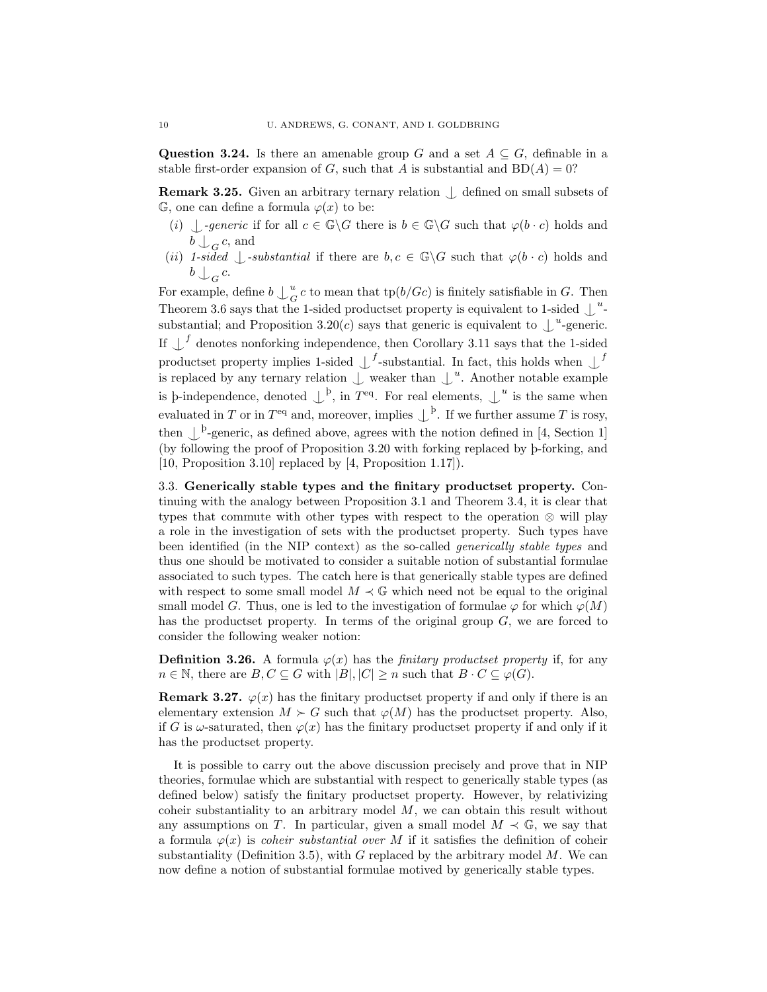Question 3.24. Is there an amenable group G and a set  $A \subseteq G$ , definable in a stable first-order expansion of G, such that A is substantial and  $BD(A) = 0$ ?

**Remark 3.25.** Given an arbitrary ternary relation  $\int$  defined on small subsets of  $\mathbb{G}$ , one can define a formula  $\varphi(x)$  to be:

- (i)  $\bigcup$ -generic if for all  $c \in \mathbb{G}\backslash G$  there is  $b \in \mathbb{G}\backslash G$  such that  $\varphi(b \cdot c)$  holds and  $b \bigcup_G c$ , and
- (ii) 1-sided  $\int$ -substantial if there are  $b, c \in \mathbb{G}\backslash G$  such that  $\varphi(b \cdot c)$  holds and  $b \bigcup_G c$ .

For example, define  $b\bigcup^u_G$  $\frac{u}{G}c$  to mean that tp( $b/Gc$ ) is finitely satisfiable in G. Then Theorem 3.6 says that the 1-sided productset property is equivalent to 1-sided  $\int^u$ substantial; and Proposition 3.20(*c*) says that generic is equivalent to  $\int_{-\infty}^{\infty}$ -generic. If  $\bigcup$ <sup>f</sup> denotes nonforking independence, then Corollary 3.11 says that the 1-sided productset property implies 1-sided  $\bigcup^{f}$ -substantial. In fact, this holds when  $\bigcup^{f}$ is replaced by any ternary relation  $\int$  weaker than  $\int^u$ . Another notable example is p-independence, denoted  $\downarrow^b$ , in  $T^{eq}$ . For real elements,  $\downarrow^u$  is the same when evaluated in T or in  $T<sup>eq</sup>$  and, moreover, implies  $\bigcup^{\mathsf{p}}$ . If we further assume T is rosy, then  $\bigcup$  <sup>p</sup>-generic, as defined above, agrees with the notion defined in [4, Section 1] (by following the proof of Proposition 3.20 with forking replaced by <sup>þ</sup>-forking, and [10, Proposition 3.10] replaced by [4, Proposition 1.17]).

3.3. Generically stable types and the finitary productset property. Continuing with the analogy between Proposition 3.1 and Theorem 3.4, it is clear that types that commute with other types with respect to the operation  $\otimes$  will play a role in the investigation of sets with the productset property. Such types have been identified (in the NIP context) as the so-called generically stable types and thus one should be motivated to consider a suitable notion of substantial formulae associated to such types. The catch here is that generically stable types are defined with respect to some small model  $M \prec \mathbb{G}$  which need not be equal to the original small model G. Thus, one is led to the investigation of formulae  $\varphi$  for which  $\varphi(M)$ has the productset property. In terms of the original group G, we are forced to consider the following weaker notion:

**Definition 3.26.** A formula  $\varphi(x)$  has the *finitary productset property* if, for any  $n \in \mathbb{N}$ , there are  $B, C \subseteq G$  with  $|B|, |C| \geq n$  such that  $B \cdot C \subseteq \varphi(G)$ .

**Remark 3.27.**  $\varphi(x)$  has the finitary productset property if and only if there is an elementary extension  $M \succ G$  such that  $\varphi(M)$  has the productset property. Also, if G is  $\omega$ -saturated, then  $\varphi(x)$  has the finitary productset property if and only if it has the productset property.

It is possible to carry out the above discussion precisely and prove that in NIP theories, formulae which are substantial with respect to generically stable types (as defined below) satisfy the finitary productset property. However, by relativizing coheir substantiality to an arbitrary model M, we can obtain this result without any assumptions on T. In particular, given a small model  $M \prec \mathbb{G}$ , we say that a formula  $\varphi(x)$  is *coheir substantial over* M if it satisfies the definition of coheir substantiality (Definition 3.5), with  $G$  replaced by the arbitrary model  $M$ . We can now define a notion of substantial formulae motived by generically stable types.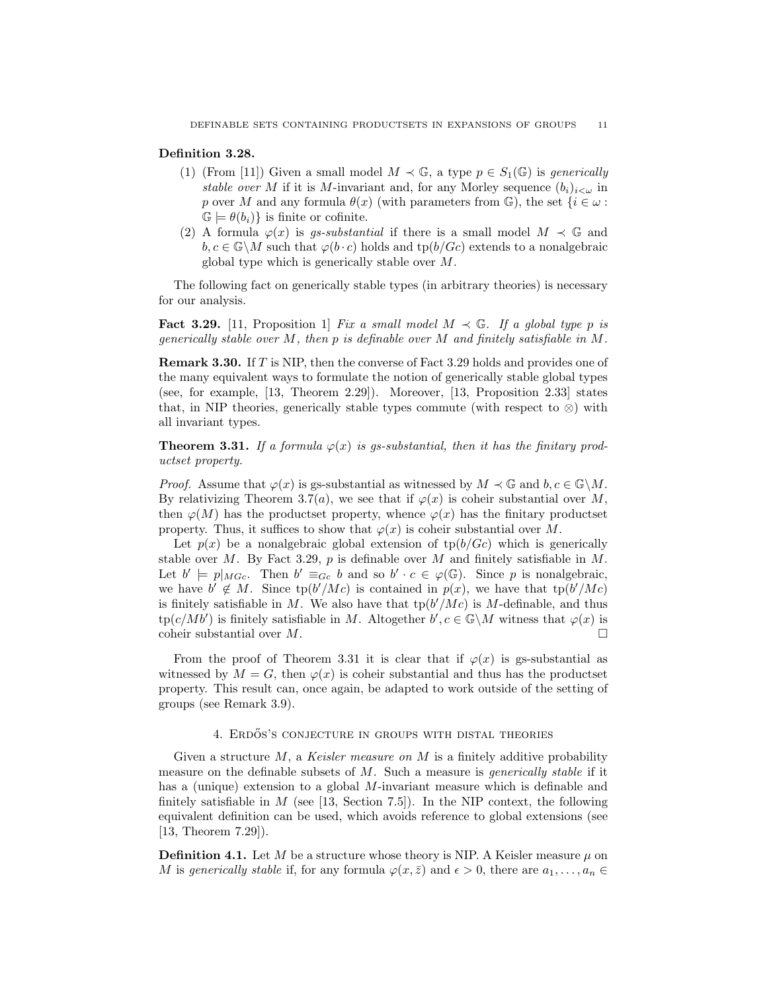# Definition 3.28.

- (1) (From [11]) Given a small model  $M \prec \mathbb{G}$ , a type  $p \in S_1(\mathbb{G})$  is generically stable over M if it is M-invariant and, for any Morley sequence  $(b_i)_{i\lt\omega}$  in p over M and any formula  $\theta(x)$  (with parameters from G), the set  $\{i \in \omega :$  $\mathbb{G} \models \theta(b_i)$  is finite or cofinite.
- (2) A formula  $\varphi(x)$  is gs-substantial if there is a small model  $M \prec \mathbb{G}$  and  $b, c \in \mathbb{G} \backslash M$  such that  $\varphi(b \cdot c)$  holds and tp $(b/Gc)$  extends to a nonalgebraic global type which is generically stable over M.

The following fact on generically stable types (in arbitrary theories) is necessary for our analysis.

**Fact 3.29.** [11, Proposition 1] Fix a small model  $M \prec \mathbb{G}$ . If a global type p is generically stable over M, then p is definable over M and finitely satisfiable in  $M$ .

Remark 3.30. If T is NIP, then the converse of Fact 3.29 holds and provides one of the many equivalent ways to formulate the notion of generically stable global types (see, for example, [13, Theorem 2.29]). Moreover, [13, Proposition 2.33] states that, in NIP theories, generically stable types commute (with respect to  $\otimes$ ) with all invariant types.

**Theorem 3.31.** If a formula  $\varphi(x)$  is gs-substantial, then it has the finitary productset property.

*Proof.* Assume that  $\varphi(x)$  is gs-substantial as witnessed by  $M \prec \mathbb{G}$  and  $b, c \in \mathbb{G}\backslash M$ . By relativizing Theorem 3.7(a), we see that if  $\varphi(x)$  is coheir substantial over M, then  $\varphi(M)$  has the productset property, whence  $\varphi(x)$  has the finitary productset property. Thus, it suffices to show that  $\varphi(x)$  is coheir substantial over M.

Let  $p(x)$  be a nonalgebraic global extension of  $tp(b/Gc)$  which is generically stable over M. By Fact 3.29,  $p$  is definable over M and finitely satisfiable in M. Let  $b' \models p|_{M G_c}$ . Then  $b' \equiv_{G_c} b$  and so  $b' \cdot c \in \varphi(\mathbb{G})$ . Since p is nonalgebraic, we have  $b' \notin M$ . Since  $tp(b'/Mc)$  is contained in  $p(x)$ , we have that  $tp(b'/Mc)$ is finitely satisfiable in M. We also have that  $tp(b'/Mc)$  is M-definable, and thus  $\text{tp}(c/Mb')$  is finitely satisfiable in M. Altogether  $b', c \in \mathbb{G}\backslash M$  witness that  $\varphi(x)$  is coheir substantial over  $M$ .

From the proof of Theorem 3.31 it is clear that if  $\varphi(x)$  is gs-substantial as witnessed by  $M = G$ , then  $\varphi(x)$  is coheir substantial and thus has the productset property. This result can, once again, be adapted to work outside of the setting of groups (see Remark 3.9).

## 4. ERDÖS'S CONJECTURE IN GROUPS WITH DISTAL THEORIES

Given a structure  $M$ , a Keisler measure on  $M$  is a finitely additive probability measure on the definable subsets of  $M$ . Such a measure is *generically stable* if it has a (unique) extension to a global M-invariant measure which is definable and finitely satisfiable in  $M$  (see [13, Section 7.5]). In the NIP context, the following equivalent definition can be used, which avoids reference to global extensions (see [13, Theorem 7.29]).

**Definition 4.1.** Let M be a structure whose theory is NIP. A Keisler measure  $\mu$  on M is generically stable if, for any formula  $\varphi(x,\bar{z})$  and  $\epsilon > 0$ , there are  $a_1, \ldots, a_n \in$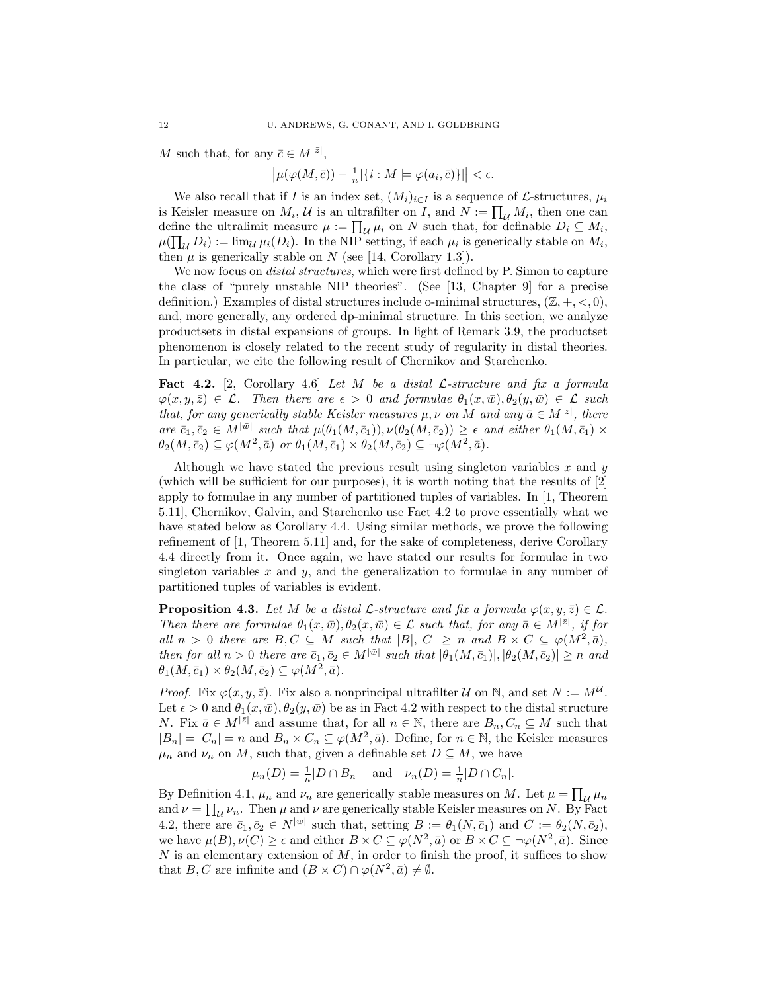M such that, for any  $\bar{c} \in M^{|\bar{z}|}$ ,

$$
\left|\mu(\varphi(M,\bar{c})) - \frac{1}{n}|\{i : M \models \varphi(a_i,\bar{c})\}|\right| < \epsilon.
$$

We also recall that if I is an index set,  $(M_i)_{i\in I}$  is a sequence of L-structures,  $\mu_i$ is Keisler measure on  $M_i$ ,  $\mathcal U$  is an ultrafilter on  $I$ , and  $N := \prod_{\mathcal U} M_i$ , then one can define the ultralimit measure  $\mu := \prod_{\mathcal{U}} \mu_i$  on N such that, for definable  $D_i \subseteq M_i$ ,  $\mu(\prod_{\mathcal{U}} D_i) := \lim_{\mathcal{U}} \mu_i(D_i)$ . In the NIP setting, if each  $\mu_i$  is generically stable on  $M_i$ , then  $\mu$  is generically stable on N (see [14, Corollary 1.3]).

We now focus on *distal structures*, which were first defined by P. Simon to capture the class of "purely unstable NIP theories". (See [13, Chapter 9] for a precise definition.) Examples of distal structures include o-minimal structures,  $(\mathbb{Z}, +, <, 0)$ , and, more generally, any ordered dp-minimal structure. In this section, we analyze productsets in distal expansions of groups. In light of Remark 3.9, the productset phenomenon is closely related to the recent study of regularity in distal theories. In particular, we cite the following result of Chernikov and Starchenko.

**Fact 4.2.** [2, Corollary 4.6] Let M be a distal  $\mathcal{L}$ -structure and fix a formula  $\varphi(x, y, \bar{z}) \in \mathcal{L}$ . Then there are  $\epsilon > 0$  and formulae  $\theta_1(x, \bar{w}), \theta_2(y, \bar{w}) \in \mathcal{L}$  such that, for any generically stable Keisler measures  $\mu, \nu$  on M and any  $\bar{a} \in M^{|\bar{z}|}$ , there are  $\bar{c}_1, \bar{c}_2 \in M^{|\bar{w}|}$  such that  $\mu(\theta_1(M, \bar{c}_1)), \nu(\theta_2(M, \bar{c}_2)) \geq \epsilon$  and either  $\theta_1(M, \bar{c}_1) \times$  $\theta_2(M, \bar{c}_2) \subseteq \varphi(M^2, \bar{a})$  or  $\theta_1(M, \bar{c}_1) \times \theta_2(M, \bar{c}_2) \subseteq \neg \varphi(M^2, \bar{a}).$ 

Although we have stated the previous result using singleton variables  $x$  and  $y$ (which will be sufficient for our purposes), it is worth noting that the results of [2] apply to formulae in any number of partitioned tuples of variables. In [1, Theorem 5.11], Chernikov, Galvin, and Starchenko use Fact 4.2 to prove essentially what we have stated below as Corollary 4.4. Using similar methods, we prove the following refinement of [1, Theorem 5.11] and, for the sake of completeness, derive Corollary 4.4 directly from it. Once again, we have stated our results for formulae in two singleton variables x and y, and the generalization to formulae in any number of partitioned tuples of variables is evident.

**Proposition 4.3.** Let M be a distal  $\mathcal{L}$ -structure and fix a formula  $\varphi(x, y, \bar{z}) \in \mathcal{L}$ . Then there are formulae  $\theta_1(x,\bar{w}), \theta_2(x,\bar{w}) \in \mathcal{L}$  such that, for any  $\bar{a} \in M^{|\bar{z}|}$ , if for all  $n > 0$  there are  $B, C \subseteq M$  such that  $|B|, |C| \geq n$  and  $B \times C \subseteq \varphi(M^2, \bar{a}),$ then for all  $n > 0$  there are  $\bar{c}_1, \bar{c}_2 \in M^{|\bar{w}|}$  such that  $|\theta_1(M, \bar{c}_1)|, |\theta_2(M, \bar{c}_2)| \geq n$  and  $\theta_1(M, \bar{c}_1) \times \theta_2(M, \bar{c}_2) \subseteq \varphi(M^2, \bar{a}).$ 

*Proof.* Fix  $\varphi(x, y, \bar{z})$ . Fix also a nonprincipal ultrafilter U on N, and set  $N := M^{\mathcal{U}}$ . Let  $\epsilon > 0$  and  $\theta_1(x, \bar{w}), \theta_2(y, \bar{w})$  be as in Fact 4.2 with respect to the distal structure N. Fix  $\bar{a} \in M^{|\bar{z}|}$  and assume that, for all  $n \in \mathbb{N}$ , there are  $B_n, C_n \subseteq M$  such that  $|B_n| = |C_n| = n$  and  $B_n \times C_n \subseteq \varphi(M^2, \bar{a})$ . Define, for  $n \in \mathbb{N}$ , the Keisler measures  $\mu_n$  and  $\nu_n$  on M, such that, given a definable set  $D \subseteq M$ , we have

$$
\mu_n(D) = \frac{1}{n}|D \cap B_n|
$$
 and  $\nu_n(D) = \frac{1}{n}|D \cap C_n|$ .

By Definition 4.1,  $\mu_n$  and  $\nu_n$  are generically stable measures on M. Let  $\mu = \prod_{\mathcal{U}} \mu_n$ and  $\nu = \prod_{\mathcal{U}} \nu_n$ . Then  $\mu$  and  $\nu$  are generically stable Keisler measures on N. By Fact 4.2, there are  $\bar{c}_1, \bar{c}_2 \in N^{|\bar{w}|}$  such that, setting  $B := \theta_1(N, \bar{c}_1)$  and  $C := \theta_2(N, \bar{c}_2)$ , we have  $\mu(B), \nu(C) \geq \epsilon$  and either  $B \times C \subseteq \varphi(N^2, \bar{a})$  or  $B \times C \subseteq \neg \varphi(N^2, \bar{a})$ . Since  $N$  is an elementary extension of  $M$ , in order to finish the proof, it suffices to show that B, C are infinite and  $(B \times C) \cap \varphi(N^2, \bar{a}) \neq \emptyset$ .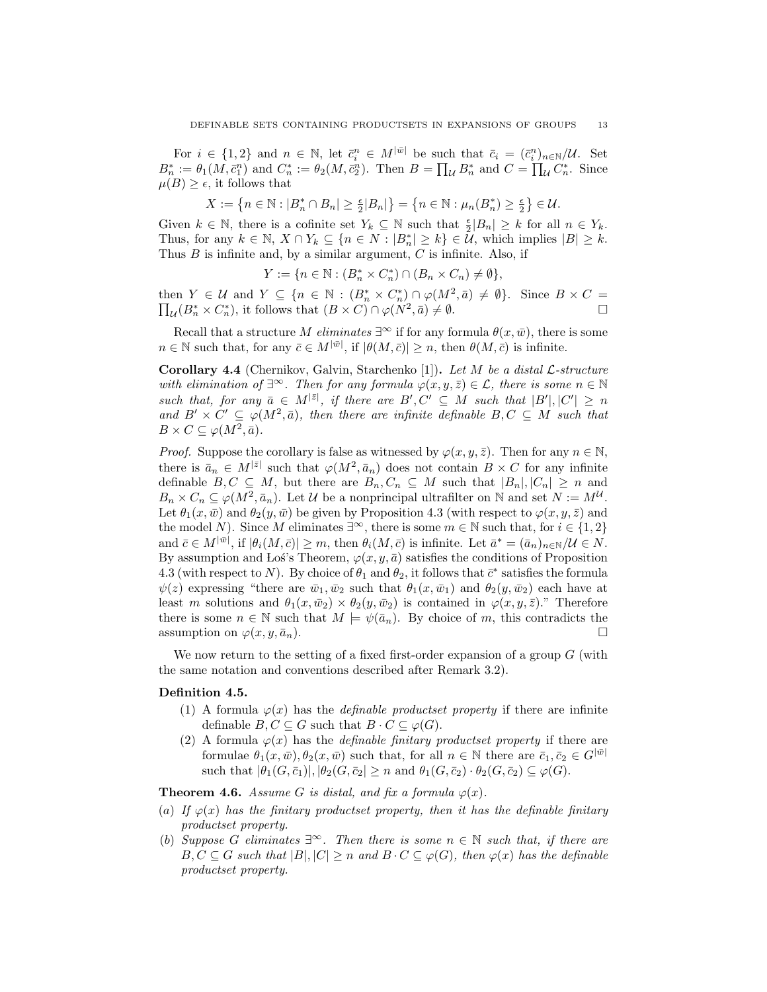For  $i \in \{1,2\}$  and  $n \in \mathbb{N}$ , let  $\bar{c}_i^n \in M^{|\bar{w}|}$  be such that  $\bar{c}_i = (\bar{c}_i^n)_{n \in \mathbb{N}}/U$ . Set  $B_n^* := \theta_1(M, \bar{c}_1^n)$  and  $C_n^* := \theta_2(M, \bar{c}_2^n)$ . Then  $B = \prod_{\mathcal{U}} B_n^*$  and  $C = \prod_{\mathcal{U}} C_n^*$ . Since  $\mu(B) \geq \epsilon$ , it follows that

 $X := \left\{ n \in \mathbb{N} : |B_n^* \cap B_n| \ge \frac{\epsilon}{2} |B_n| \right\} = \left\{ n \in \mathbb{N} : \mu_n(B_n^*) \ge \frac{\epsilon}{2} \right\} \in \mathcal{U}.$ 

Given  $k \in \mathbb{N}$ , there is a cofinite set  $Y_k \subseteq \mathbb{N}$  such that  $\frac{\epsilon}{2}|B_n| \geq k$  for all  $n \in Y_k$ . Thus, for any  $k \in \mathbb{N}, X \cap Y_k \subseteq \{n \in N : |B_n^*| \ge k\} \in \mathcal{U}$ , which implies  $|B| \ge k$ . Thus  $B$  is infinite and, by a similar argument,  $C$  is infinite. Also, if

$$
Y := \{ n \in \mathbb{N} : (B_n^* \times C_n^*) \cap (B_n \times C_n) \neq \emptyset \},\
$$

then  $Y \in \mathcal{U}$  and  $Y \subseteq \{n \in \mathbb{N} : (B_n^* \times C_n^*) \cap \varphi(M^2, \bar{a}) \neq \emptyset\}$ . Since  $B \times C = \prod_{\mathcal{U}} (B_n^* \times C_n^*)$ , it follows that  $(B \times C) \cap \varphi(N^2, \bar{a}) \neq \emptyset$ .

Recall that a structure M eliminates  $\exists^{\infty}$  if for any formula  $\theta(x,\bar{w})$ , there is some  $n \in \mathbb{N}$  such that, for any  $\bar{c} \in M^{|\bar{w}|}$ , if  $|\theta(M, \bar{c})| \geq n$ , then  $\theta(M, \bar{c})$  is infinite.

**Corollary 4.4** (Chernikov, Galvin, Starchenko [1]). Let M be a distal  $\mathcal{L}\text{-}structure$ with elimination of  $\exists^{\infty}$ . Then for any formula  $\varphi(x, y, \bar{z}) \in \mathcal{L}$ , there is some  $n \in \mathbb{N}$ such that, for any  $\bar{a} \in M^{|\bar{z}|}$ , if there are  $B', C' \subseteq M$  such that  $|B'|, |C'| \geq n$ and  $B' \times C' \subseteq \varphi(M^2, \bar{a})$ , then there are infinite definable  $B, C \subseteq M$  such that  $B \times C \subseteq \varphi(M^2, \bar{a}).$ 

*Proof.* Suppose the corollary is false as witnessed by  $\varphi(x, y, \bar{z})$ . Then for any  $n \in \mathbb{N}$ , there is  $\bar{a}_n \in M^{|\bar{z}|}$  such that  $\varphi(M^2, \bar{a}_n)$  does not contain  $B \times C$  for any infinite definable  $B, C \subseteq M$ , but there are  $B_n, C_n \subseteq M$  such that  $|B_n|, |C_n| \geq n$  and  $B_n \times C_n \subseteq \varphi(M^2, \bar{a}_n)$ . Let U be a nonprincipal ultrafilter on N and set  $N := M^{\mathcal{U}}$ . Let  $\theta_1(x,\bar{w})$  and  $\theta_2(y,\bar{w})$  be given by Proposition 4.3 (with respect to  $\varphi(x,y,\bar{z})$  and the model N). Since M eliminates  $\exists^{\infty}$ , there is some  $m \in \mathbb{N}$  such that, for  $i \in \{1,2\}$ and  $\bar{c} \in M^{|\bar{w}|}$ , if  $|\theta_i(M, \bar{c})| \geq m$ , then  $\theta_i(M, \bar{c})$  is infinite. Let  $\bar{a}^* = (\bar{a}_n)_{n \in \mathbb{N}}/U \in N$ . By assumption and Los's Theorem,  $\varphi(x, y, \bar{a})$  satisfies the conditions of Proposition 4.3 (with respect to N). By choice of  $\theta_1$  and  $\theta_2$ , it follows that  $\bar{c}^*$  satisfies the formula  $\psi(z)$  expressing "there are  $\bar{w}_1, \bar{w}_2$  such that  $\theta_1(x, \bar{w}_1)$  and  $\theta_2(y, \bar{w}_2)$  each have at least m solutions and  $\theta_1(x,\bar{w}_2) \times \theta_2(y,\bar{w}_2)$  is contained in  $\varphi(x,y,\bar{z})$ ." Therefore there is some  $n \in \mathbb{N}$  such that  $M \models \psi(\bar{a}_n)$ . By choice of m, this contradicts the assumption on  $\varphi(x, y, \bar{a}_n)$ .

We now return to the setting of a fixed first-order expansion of a group  $G$  (with the same notation and conventions described after Remark 3.2).

#### Definition 4.5.

- (1) A formula  $\varphi(x)$  has the *definable productset property* if there are infinite definable  $B, C \subseteq G$  such that  $B \cdot C \subseteq \varphi(G)$ .
- (2) A formula  $\varphi(x)$  has the *definable finitary productset property* if there are formulae  $\theta_1(x,\bar{w}), \theta_2(x,\bar{w})$  such that, for all  $n \in \mathbb{N}$  there are  $\bar{c}_1, \bar{c}_2 \in G^{|\bar{w}|}$ such that  $|\theta_1(G, \bar{c}_1)|, |\theta_2(G, \bar{c}_2)| \geq n$  and  $\theta_1(G, \bar{c}_2) \cdot \theta_2(G, \bar{c}_2) \subseteq \varphi(G)$ .

**Theorem 4.6.** Assume G is distal, and fix a formula  $\varphi(x)$ .

- (a) If  $\varphi(x)$  has the finitary productset property, then it has the definable finitary productset property.
- (b) Suppose G eliminates  $\exists^{\infty}$ . Then there is some  $n \in \mathbb{N}$  such that, if there are  $B, C \subseteq G$  such that  $|B|, |C| \geq n$  and  $B \cdot C \subseteq \varphi(G)$ , then  $\varphi(x)$  has the definable productset property.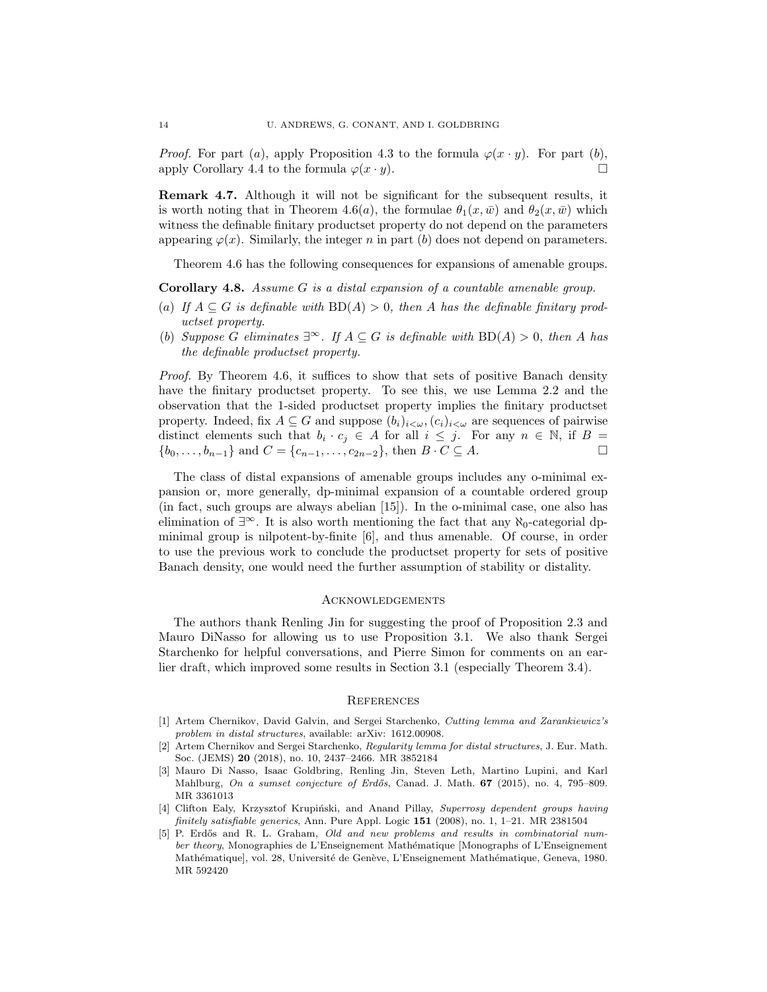*Proof.* For part (a), apply Proposition 4.3 to the formula  $\varphi(x \cdot y)$ . For part (b), apply Corollary 4.4 to the formula  $\varphi(x \cdot y)$ .

Remark 4.7. Although it will not be significant for the subsequent results, it is worth noting that in Theorem 4.6(a), the formulae  $\theta_1(x,\bar{w})$  and  $\theta_2(x,\bar{w})$  which witness the definable finitary productset property do not depend on the parameters appearing  $\varphi(x)$ . Similarly, the integer n in part (b) does not depend on parameters.

Theorem 4.6 has the following consequences for expansions of amenable groups.

Corollary 4.8. Assume G is a distal expansion of a countable amenable group.

- (a) If  $A \subseteq G$  is definable with  $BD(A) > 0$ , then A has the definable finitary productset property.
- (b) Suppose G eliminates  $\exists^{\infty}$ . If  $A \subseteq G$  is definable with  $BD(A) > 0$ , then A has the definable productset property.

Proof. By Theorem 4.6, it suffices to show that sets of positive Banach density have the finitary productset property. To see this, we use Lemma 2.2 and the observation that the 1-sided productset property implies the finitary productset property. Indeed, fix  $A \subseteq G$  and suppose  $(b_i)_{i \leq \omega}$ ,  $(c_i)_{i \leq \omega}$  are sequences of pairwise distinct elements such that  $b_i \cdot c_j \in A$  for all  $i \leq j$ . For any  $n \in \mathbb{N}$ , if  $B =$  ${b_0, \ldots, b_{n-1}}$  and  $C = {c_{n-1}, \ldots, c_{2n-2}}$ , then  $B \cdot C \subseteq A$ .

The class of distal expansions of amenable groups includes any o-minimal expansion or, more generally, dp-minimal expansion of a countable ordered group (in fact, such groups are always abelian [15]). In the o-minimal case, one also has elimination of  $\exists^{\infty}$ . It is also worth mentioning the fact that any  $\aleph_0$ -categorial dpminimal group is nilpotent-by-finite [6], and thus amenable. Of course, in order to use the previous work to conclude the productset property for sets of positive Banach density, one would need the further assumption of stability or distality.

#### **ACKNOWLEDGEMENTS**

The authors thank Renling Jin for suggesting the proof of Proposition 2.3 and Mauro DiNasso for allowing us to use Proposition 3.1. We also thank Sergei Starchenko for helpful conversations, and Pierre Simon for comments on an earlier draft, which improved some results in Section 3.1 (especially Theorem 3.4).

### **REFERENCES**

- [1] Artem Chernikov, David Galvin, and Sergei Starchenko, Cutting lemma and Zarankiewicz's problem in distal structures, available: arXiv: 1612.00908.
- [2] Artem Chernikov and Sergei Starchenko, Regularity lemma for distal structures, J. Eur. Math. Soc. (JEMS) 20 (2018), no. 10, 2437–2466. MR 3852184
- [3] Mauro Di Nasso, Isaac Goldbring, Renling Jin, Steven Leth, Martino Lupini, and Karl Mahlburg, On a sumset conjecture of Erdős, Canad. J. Math. 67 (2015), no. 4, 795–809. MR 3361013
- [4] Clifton Ealy, Krzysztof Krupiński, and Anand Pillay, Superrosy dependent groups having finitely satisfiable generics, Ann. Pure Appl. Logic 151 (2008), no. 1, 1-21. MR 2381504
- [5] P. Erdős and R. L. Graham, *Old and new problems and results in combinatorial num*ber theory, Monographies de L'Enseignement Mathématique [Monographs of L'Enseignement Mathématique], vol. 28, Université de Genève, L'Enseignement Mathématique, Geneva, 1980. MR 592420